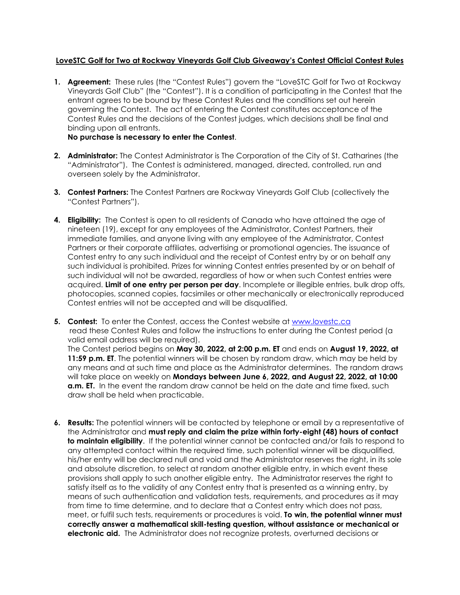## **LoveSTC Golf for Two at Rockway Vineyards Golf Club Giveaway's Contest Official Contest Rules**

**1. Agreement:** These rules (the "Contest Rules") govern the "LoveSTC Golf for Two at Rockway Vineyards Golf Club" (the "Contest"). It is a condition of participating in the Contest that the entrant agrees to be bound by these Contest Rules and the conditions set out herein governing the Contest. The act of entering the Contest constitutes acceptance of the Contest Rules and the decisions of the Contest judges, which decisions shall be final and binding upon all entrants.

**No purchase is necessary to enter the Contest**.

- **2. Administrator:** The Contest Administrator is The Corporation of the City of St. Catharines (the "Administrator"). The Contest is administered, managed, directed, controlled, run and overseen solely by the Administrator.
- **3. Contest Partners:** The Contest Partners are Rockway Vineyards Golf Club (collectively the "Contest Partners").
- **4. Eligibility:** The Contest is open to all residents of Canada who have attained the age of nineteen (19), except for any employees of the Administrator, Contest Partners, their immediate families, and anyone living with any employee of the Administrator, Contest Partners or their corporate affiliates, advertising or promotional agencies. The issuance of Contest entry to any such individual and the receipt of Contest entry by or on behalf any such individual is prohibited. Prizes for winning Contest entries presented by or on behalf of such individual will not be awarded, regardless of how or when such Contest entries were acquired. **Limit of one entry per person per day**. Incomplete or illegible entries, bulk drop offs, photocopies, scanned copies, facsimiles or other mechanically or electronically reproduced Contest entries will not be accepted and will be disqualified.
- **5. Contest:** To enter the Contest, access the Contest website at [www.lovestc.ca](http://www.lovestc.ca/) read these Contest Rules and follow the instructions to enter during the Contest period (a valid email address will be required). The Contest period begins on **May 30, 2022, at 2:00 p.m. ET** and ends on **August 19, 2022, at 11:59 p.m. ET**. The potential winners will be chosen by random draw, which may be held by any means and at such time and place as the Administrator determines. The random draws will take place on weekly on **Mondays between June 6, 2022, and August 22, 2022, at 10:00 a.m. ET.** In the event the random draw cannot be held on the date and time fixed, such draw shall be held when practicable.
- **6. Results:** The potential winners will be contacted by telephone or email by a representative of the Administrator and **must reply and claim the prize within forty-eight (48) hours of contact to maintain eligibility**. If the potential winner cannot be contacted and/or fails to respond to any attempted contact within the required time, such potential winner will be disqualified, his/her entry will be declared null and void and the Administrator reserves the right, in its sole and absolute discretion, to select at random another eligible entry, in which event these provisions shall apply to such another eligible entry. The Administrator reserves the right to satisfy itself as to the validity of any Contest entry that is presented as a winning entry, by means of such authentication and validation tests, requirements, and procedures as it may from time to time determine, and to declare that a Contest entry which does not pass, meet, or fulfil such tests, requirements or procedures is void. **To win, the potential winner must correctly answer a mathematical skill-testing question, without assistance or mechanical or electronic aid.** The Administrator does not recognize protests, overturned decisions or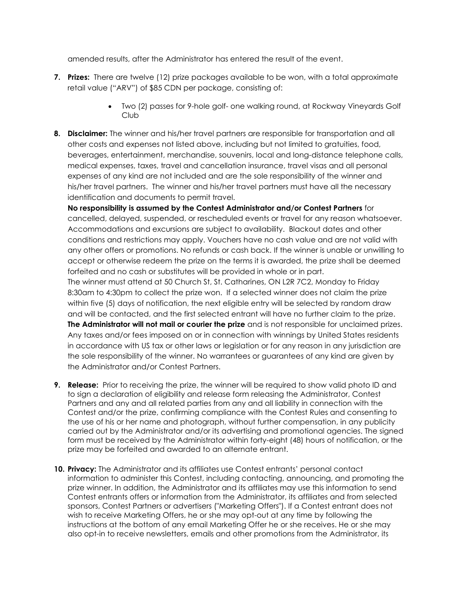amended results, after the Administrator has entered the result of the event.

- **7. Prizes:** There are twelve (12) prize packages available to be won, with a total approximate retail value ("ARV") of \$85 CDN per package, consisting of:
	- Two (2) passes for 9-hole golf- one walking round, at Rockway Vineyards Golf Club
- **8. Disclaimer:** The winner and his/her travel partners are responsible for transportation and all other costs and expenses not listed above, including but not limited to gratuities, food, beverages, entertainment, merchandise, souvenirs, local and long-distance telephone calls, medical expenses, taxes, travel and cancellation insurance, travel visas and all personal expenses of any kind are not included and are the sole responsibility of the winner and his/her travel partners. The winner and his/her travel partners must have all the necessary identification and documents to permit travel.

**No responsibility is assumed by the Contest Administrator and/or Contest Partners** for cancelled, delayed, suspended, or rescheduled events or travel for any reason whatsoever. Accommodations and excursions are subject to availability. Blackout dates and other conditions and restrictions may apply. Vouchers have no cash value and are not valid with any other offers or promotions. No refunds or cash back. If the winner is unable or unwilling to accept or otherwise redeem the prize on the terms it is awarded, the prize shall be deemed forfeited and no cash or substitutes will be provided in whole or in part.

The winner must attend at 50 Church St, St. Catharines, ON L2R 7C2, Monday to Friday 8:30am to 4:30pm to collect the prize won. If a selected winner does not claim the prize within five (5) days of notification, the next eligible entry will be selected by random draw and will be contacted, and the first selected entrant will have no further claim to the prize. **The Administrator will not mail or courier the prize** and is not responsible for unclaimed prizes. Any taxes and/or fees imposed on or in connection with winnings by United States residents in accordance with US tax or other laws or legislation or for any reason in any jurisdiction are the sole responsibility of the winner. No warrantees or guarantees of any kind are given by the Administrator and/or Contest Partners.

- **9. Release:** Prior to receiving the prize, the winner will be required to show valid photo ID and to sign a declaration of eligibility and release form releasing the Administrator, Contest Partners and any and all related parties from any and all liability in connection with the Contest and/or the prize, confirming compliance with the Contest Rules and consenting to the use of his or her name and photograph, without further compensation, in any publicity carried out by the Administrator and/or its advertising and promotional agencies. The signed form must be received by the Administrator within forty-eight (48) hours of notification, or the prize may be forfeited and awarded to an alternate entrant.
- **10. Privacy:** The Administrator and its affiliates use Contest entrants' personal contact information to administer this Contest, including contacting, announcing, and promoting the prize winner. In addition, the Administrator and its affiliates may use this information to send Contest entrants offers or information from the Administrator, its affiliates and from selected sponsors, Contest Partners or advertisers ("Marketing Offers"). If a Contest entrant does not wish to receive Marketing Offers, he or she may opt-out at any time by following the instructions at the bottom of any email Marketing Offer he or she receives. He or she may also opt-in to receive newsletters, emails and other promotions from the Administrator, its